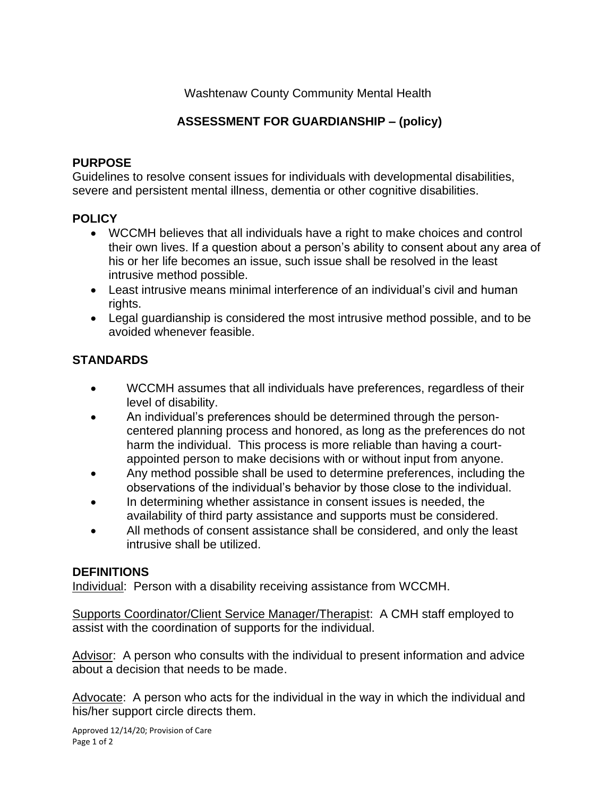Washtenaw County Community Mental Health

# **ASSESSMENT FOR GUARDIANSHIP – (policy)**

#### **PURPOSE**

Guidelines to resolve consent issues for individuals with developmental disabilities, severe and persistent mental illness, dementia or other cognitive disabilities.

### **POLICY**

- WCCMH believes that all individuals have a right to make choices and control their own lives. If a question about a person's ability to consent about any area of his or her life becomes an issue, such issue shall be resolved in the least intrusive method possible.
- Least intrusive means minimal interference of an individual's civil and human rights.
- Legal guardianship is considered the most intrusive method possible, and to be avoided whenever feasible.

# **STANDARDS**

- WCCMH assumes that all individuals have preferences, regardless of their level of disability.
- An individual's preferences should be determined through the personcentered planning process and honored, as long as the preferences do not harm the individual. This process is more reliable than having a courtappointed person to make decisions with or without input from anyone.
- Any method possible shall be used to determine preferences, including the observations of the individual's behavior by those close to the individual.
- In determining whether assistance in consent issues is needed, the availability of third party assistance and supports must be considered.
- All methods of consent assistance shall be considered, and only the least intrusive shall be utilized.

## **DEFINITIONS**

Individual: Person with a disability receiving assistance from WCCMH.

Supports Coordinator/Client Service Manager/Therapist: A CMH staff employed to assist with the coordination of supports for the individual.

Advisor: A person who consults with the individual to present information and advice about a decision that needs to be made.

Advocate: A person who acts for the individual in the way in which the individual and his/her support circle directs them.

Approved 12/14/20; Provision of Care Page 1 of 2